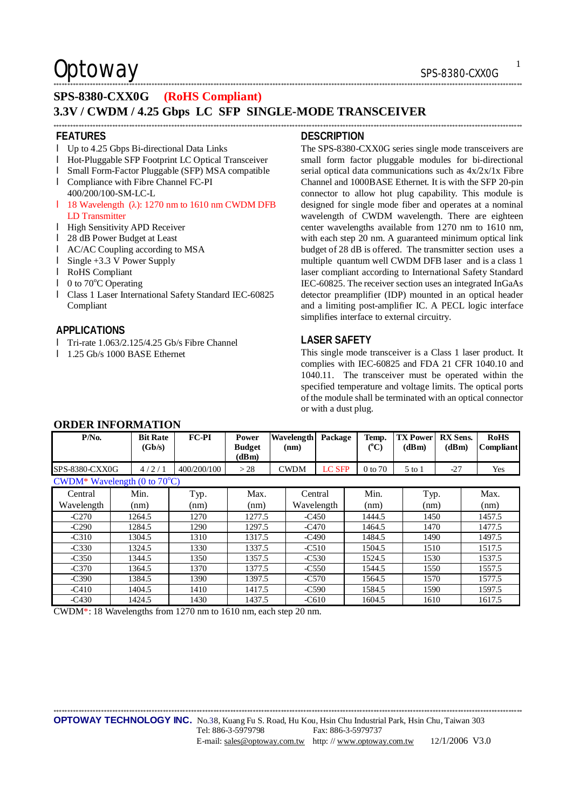## $\mathsf{Optionway}$  sps-8380-CXX0G

## **SPS-8380-CXX0G (RoHS Compliant)**

#### **3.3V / CWDM / 4.25 Gbps LC SFP SINGLE-MODE TRANSCEIVER**  \*\*\*\*\*\*\*\*\*\*\*\*\*\*\*\*\*\*\*\*\*\*\*\*\*\*\*\*\*\*\*\*\*\*\*\*\*\*\*\*\*\*\*\*\*\*\*\*\*\*\*\*\*\*\*\*\*\*\*\*\*\*\*\*\*\*\*\*\*\*\*\*\*\*\*\*\*\*\*\*\*\*\*\*\*\*\*\*\*\*\*\*\*\*\*\*\*\*\*\*\*\*\*\*\*\*\*\*\*\*\*\*\*\*\*\*\*\*\*\*\*\*\*\*\*\*\*\*\*\*\*\*\*\*\*\*\*\*\*\*\*\*\*\*\*\*\*\*\*\*\*\*\*\*\*\*\*\*\*\*\*\*\*\*\*\*\*

#### **FEATURES**

- l Up to 4.25 Gbps Bi-directional Data Links
- l Hot-Pluggable SFP Footprint LC Optical Transceiver
- l Small Form-Factor Pluggable (SFP) MSA compatible
- l Compliance with Fibre Channel FC-PI 400/200/100-SM-LC-L
- l 18 Wavelength  $(\lambda)$ : 1270 nm to 1610 nm CWDM DFB LD Transmitter
- l High Sensitivity APD Receiver
- l 28 dB Power Budget at Least
- l AC/AC Coupling according to MSA
- l Single +3.3 V Power Supply
- l RoHS Compliant
- $\blacksquare$  0 to 70 $\degree$ C Operating
- l Class 1 Laser International Safety Standard IEC-60825 Compliant

### **APPLICATIONS**

- l Tri-rate 1.063/2.125/4.25 Gb/s Fibre Channel
- l 1.25 Gb/s 1000 BASE Ethernet

#### **DESCRIPTION**

\*\*\*\*\*\*\*\*\*\*\*\*\*\*\*\*\*\*\*\*\*\*\*\*\*\*\*\*\*\*\*\*\*\*\*\*\*\*\*\*\*\*\*\*\*\*\*\*\*\*\*\*\*\*\*\*\*\*\*\*\*\*\*\*\*\*\*\*\*\*\*\*\*\*\*\*\*\*\*\*\*\*\*\*\*\*\*\*\*\*\*\*\*\*\*\*\*\*\*\*\*\*\*\*\*\*\*\*\*\*\*\*\*\*\*\*\*\*\*\*\*\*\*\*\*\*\*\*\*\*\*\*\*\*\*\*\*\*\*\*\*\*\*\*\*\*\*\*\*\*\*\*\*\*\*\*\*\*\*\*\*\*\*\*\*\*\*

The SPS-8380-CXX0G series single mode transceivers are small form factor pluggable modules for bi-directional serial optical data communications such as 4x/2x/1x Fibre Channel and 1000BASE Ethernet. It is with the SFP 20-pin connector to allow hot plug capability. This module is designed for single mode fiber and operates at a nominal wavelength of CWDM wavelength. There are eighteen center wavelengths available from 1270 nm to 1610 nm, with each step 20 nm. A guaranteed minimum optical link budget of 28 dB is offered. The transmitter section uses a multiple quantum well CWDM DFB laser and is a class 1 laser compliant according to International Safety Standard IEC-60825. The receiver section uses an integrated InGaAs detector preamplifier (IDP) mounted in an optical header and a limiting post-amplifier IC. A PECL logic interface simplifies interface to external circuitry.

### **LASER SAFETY**

This single mode transceiver is a Class 1 laser product. It complies with IEC-60825 and FDA 21 CFR 1040.10 and 1040.11. The transceiver must be operated within the specified temperature and voltage limits. The optical ports of the module shall be terminated with an optical connector or with a dust plug.

| $P/N0$ .                               | <b>Bit Rate</b><br>(Gb/s) | <b>FC-PI</b> | <b>Power</b><br><b>Budget</b><br>(dBm) | Wavelength<br>(nm) | Package       | Temp.<br>$(^{\circ}C)$ | <b>TX Power</b><br>(dBm) | <b>RX</b> Sens.<br>(dBm) | <b>RoHS</b><br>Compliant |
|----------------------------------------|---------------------------|--------------|----------------------------------------|--------------------|---------------|------------------------|--------------------------|--------------------------|--------------------------|
| SPS-8380-CXX0G                         | 4/2/1                     | 400/200/100  | >28                                    | <b>CWDM</b>        | <b>LC SFP</b> | 0 to 70                | $5$ to $1$               | $-27$                    | Yes                      |
| CWDM* Wavelength (0 to $70^{\circ}$ C) |                           |              |                                        |                    |               |                        |                          |                          |                          |
| Central                                | Min.                      | Typ.         | Max.                                   | Central            |               | Min.                   | Typ.                     |                          | Max.                     |
| Wavelength                             | (nm)                      | (nm)         | (nm)                                   | Wavelength         |               | (nm)                   | (nm)                     |                          | (nm)                     |
| $-C270$                                | 1264.5                    | 1270         | 1277.5                                 | $-C450$            |               | 1444.5                 | 1450                     |                          | 1457.5                   |
| $-C290$                                | 1284.5                    | 1290         | 1297.5                                 | -C470              |               | 1464.5                 | 1470                     |                          | 1477.5                   |
| $-C310$                                | 1304.5                    | 1310         | 1317.5                                 | $-C490$            |               | 1484.5                 | 1490                     |                          | 1497.5                   |
| $-C330$                                | 1324.5                    | 1330         | 1337.5                                 | $-C510$            |               | 1504.5                 | 1510                     |                          | 1517.5                   |
| $-C350$                                | 1344.5                    | 1350         | 1357.5                                 | $-C530$            |               | 1524.5                 | 1530                     |                          | 1537.5                   |
| $-C370$                                | 1364.5                    | 1370         | 1377.5                                 | $-C550$            |               | 1544.5                 | 1550                     |                          | 1557.5                   |
| $-C390$                                | 1384.5                    | 1390         | 1397.5                                 | $-C570$            |               | 1564.5                 | 1570                     |                          | 1577.5                   |
| $-C410$                                | 1404.5                    | 1410         | 1417.5                                 | $-C590$            |               | 1584.5                 | 1590                     |                          | 1597.5                   |
| $-C430$                                | 1424.5                    | 1430         | 1437.5                                 | $-C610$            |               | 1604.5                 | 1610                     |                          | 1617.5                   |

### **ORDER INFORMATION**

CWDM\*: 18 Wavelengths from 1270 nm to 1610 nm, each step 20 nm.

\*\*\*\*\*\*\*\*\*\*\*\*\*\*\*\*\*\*\*\*\*\*\*\*\*\*\*\*\*\*\*\*\*\*\*\*\*\*\*\*\*\*\*\*\*\*\*\*\*\*\*\*\*\*\*\*\*\*\*\*\*\*\*\*\*\*\*\*\*\*\*\*\*\*\*\*\*\*\*\*\*\*\*\*\*\*\*\*\*\*\*\*\*\*\*\*\*\*\*\*\*\*\*\*\*\*\*\*\*\*\*\*\*\*\*\*\*\*\*\*\*\*\*\*\*\*\*\*\*\*\*\*\*\*\*\*\*\*\*\*\*\*\*\*\*\*\*\*\*\*\*\*\*\*\*\*\*\*\*\*\*\*\*\*\*\*\*

**OPTOWAY TECHNOLOGY INC.** No.38, Kuang Fu S. Road, Hu Kou, Hsin Chu Industrial Park, Hsin Chu, Taiwan 303 Tel: 886-3-5979798 Fax: 886-3-5979737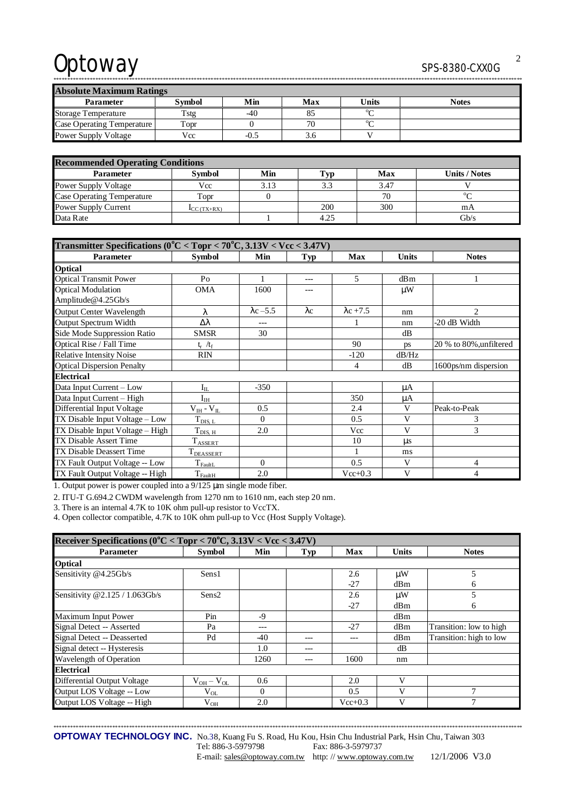# Optoway SPS-8380-CXX0G

\*\*\*\*\*\*\*\*\*\*\*\*\*\*\*\*\*\*\*\*\*\*\*\*\*\*\*\*\*\*\*\*\*\*\*\*\*\*\*\*\*\*\*\*\*\*\*\*\*\*\*\*\*\*\*\*\*\*\*\*\*\*\*\*\*\*\*\*\*\*\*\*\*\*\*\*\*\*\*\*\*\*\*\*\*\*\*\*\*\*\*\*\*\*\*\*\*\*\*\*\*\*\*\*\*\*\*\*\*\*\*\*\*\*\*\*\*\*\*\*\*\*\*\*\*\*\*\*\*\*\*\*\*\*\*\*\*\*\*\*\*\*\*\*\*\*\*\*\*\*\*\*\*\*\*\*\*\*\*\*\*\*\*\*\*\*\* **Absolute Maximum Ratings**  Parameter | Symbol | Min | Max | Units | Notes Storage Temperature Tstg 1 40 85  $^{\circ}$ C

Case Operating Temperature Topr 0 70 <sup>o</sup>C Power Supply Voltage Vcc 1 -0.5 3.6 V

| <b>Recommended Operating Conditions</b> |                                  |      |      |      |                      |  |  |
|-----------------------------------------|----------------------------------|------|------|------|----------------------|--|--|
| <b>Parameter</b>                        | <b>Symbol</b>                    | Min  | Typ  | Max  | <b>Units / Notes</b> |  |  |
| <b>Power Supply Voltage</b>             | Vcc                              | 3.13 | 3.3  | 3.47 |                      |  |  |
| Case Operating Temperature              | Topr                             |      |      | 70   | $\sigma$             |  |  |
| Power Supply Current                    | $\mathbf{I}_{\text{CC}}$ (TX+RX) |      | 200  | 300  | mA                   |  |  |
| Data Rate                               |                                  |      | 4.25 |      | Gb/s                 |  |  |

| Transmitter Specifications ( $0^{\circ}$ C < Topr < $70^{\circ}$ C, 3.13V < Vcc < 3.47V) |                          |                  |             |                  |         |                         |  |
|------------------------------------------------------------------------------------------|--------------------------|------------------|-------------|------------------|---------|-------------------------|--|
| Parameter                                                                                | <b>Symbol</b>            | Min              | Typ         | Max              | Units   | <b>Notes</b>            |  |
| <b>Optical</b>                                                                           |                          |                  |             |                  |         |                         |  |
| <b>Optical Transmit Power</b>                                                            | P <sub>O</sub>           |                  | ---         | 5                | dBm     | 1                       |  |
| <b>Optical Modulation</b>                                                                | <b>OMA</b>               | 1600             | $---$       |                  | μW      |                         |  |
| Amplitude@4.25Gb/s                                                                       |                          |                  |             |                  |         |                         |  |
| <b>Output Center Wavelength</b>                                                          | λ                        | $\lambda$ c -5.5 | $\lambda c$ | $\lambda$ c +7.5 | nm      | 2                       |  |
| Output Spectrum Width                                                                    | Δλ                       | ---              |             |                  | nm      | -20 dB Width            |  |
| Side Mode Suppression Ratio                                                              | <b>SMSR</b>              | 30               |             |                  | dB      |                         |  |
| Optical Rise / Fall Time                                                                 | $t_r / t_f$              |                  |             | 90               | ps      | 20 % to 80%, unfiltered |  |
| <b>Relative Intensity Noise</b>                                                          | <b>RIN</b>               |                  |             | $-120$           | dB/Hz   |                         |  |
| <b>Optical Dispersion Penalty</b>                                                        |                          |                  |             | 4                | dB      | 1600ps/nm dispersion    |  |
| <b>Electrical</b>                                                                        |                          |                  |             |                  |         |                         |  |
| Data Input Current - Low                                                                 | $\rm I_{IL}$             | $-350$           |             |                  | $\mu A$ |                         |  |
| Data Input Current - High                                                                | $\mathrm{I}_\mathrm{IH}$ |                  |             | 350              | μA      |                         |  |
| Differential Input Voltage                                                               | $V_{IH} - V_{IL}$        | 0.5              |             | 2.4              | V       | Peak-to-Peak            |  |
| TX Disable Input Voltage - Low                                                           | $T_{\rm DIS,~L}$         | $\Omega$         |             | 0.5              | V       | 3                       |  |
| TX Disable Input Voltage - High                                                          | $T_{\text{DIS, H}}$      | 2.0              |             | Vcc              | V       | 3                       |  |
| TX Disable Assert Time                                                                   | $\rm T_{ASSET}$          |                  |             | 10               | $\mu$ s |                         |  |
| TX Disable Deassert Time                                                                 | T <sub>DEASSERT</sub>    |                  |             |                  | ms      |                         |  |
| TX Fault Output Voltage -- Low                                                           | $T_{\text{FaultL}}$      | $\Omega$         |             | 0.5              | V       | 4                       |  |
| TX Fault Output Voltage -- High                                                          | $T_{\rm FaultH}$         | 2.0              |             | $Vec+0.3$        | V       | $\overline{4}$          |  |

1. Output power is power coupled into a 9/125 μm single mode fiber.

2. ITU-T G.694.2 CWDM wavelength from 1270 nm to 1610 nm, each step 20 nm.

3. There is an internal 4.7K to 10K ohm pull-up resistor to VccTX.

4. Open collector compatible, 4.7K to 10K ohm pull-up to Vcc (Host Supply Voltage).

| Receiver Specifications ( $0^{\circ}$ C < Topr < 70 $^{\circ}$ C, 3.13V < Vcc < 3.47V) |                   |          |     |             |                 |                         |  |
|----------------------------------------------------------------------------------------|-------------------|----------|-----|-------------|-----------------|-------------------------|--|
| <b>Parameter</b>                                                                       | <b>Symbol</b>     | Min      | Typ | <b>Max</b>  | <b>Units</b>    | <b>Notes</b>            |  |
| <b>Optical</b>                                                                         |                   |          |     |             |                 |                         |  |
| Sensitivity @4.25Gb/s                                                                  | Sens1             |          |     | 2.6         | $\mu$ W         | 5                       |  |
|                                                                                        |                   |          |     | $-27$       | dBm             | 6                       |  |
| Sensitivity @2.125 / 1.063Gb/s                                                         | Sens <sub>2</sub> |          |     | 2.6         | $\mu$ W         | 5                       |  |
|                                                                                        |                   |          |     | $-27$       | dB <sub>m</sub> | 6                       |  |
| Maximum Input Power                                                                    | Pin               | -9       |     |             | dBm             |                         |  |
| Signal Detect -- Asserted                                                              | Pa                | ---      |     | $-27$       | dBm             | Transition: low to high |  |
| Signal Detect -- Deasserted                                                            | Pd                | -40      | --- | ---         | dBm             | Transition: high to low |  |
| Signal detect -- Hysteresis                                                            |                   | 1.0      | --- |             | dВ              |                         |  |
| Wavelength of Operation                                                                |                   | 1260     |     | 1600        | nm              |                         |  |
| <b>Electrical</b>                                                                      |                   |          |     |             |                 |                         |  |
| Differential Output Voltage                                                            | $V_{OH}-V_{OL}$   | 0.6      |     | 2.0         | V               |                         |  |
| Output LOS Voltage -- Low                                                              | $V_{OL}$          | $\Omega$ |     | 0.5         | v               | $\mathbf{r}$            |  |
| Output LOS Voltage -- High                                                             | $\rm V_{OH}$      | 2.0      |     | $Vec{+}0.3$ | V               |                         |  |

\*\*\*\*\*\*\*\*\*\*\*\*\*\*\*\*\*\*\*\*\*\*\*\*\*\*\*\*\*\*\*\*\*\*\*\*\*\*\*\*\*\*\*\*\*\*\*\*\*\*\*\*\*\*\*\*\*\*\*\*\*\*\*\*\*\*\*\*\*\*\*\*\*\*\*\*\*\*\*\*\*\*\*\*\*\*\*\*\*\*\*\*\*\*\*\*\*\*\*\*\*\*\*\*\*\*\*\*\*\*\*\*\*\*\*\*\*\*\*\*\*\*\*\*\*\*\*\*\*\*\*\*\*\*\*\*\*\*\*\*\*\*\*\*\*\*\*\*\*\*\*\*\*\*\*\*\*\*\*\*\*\*\*\*\*\*\*

**OPTOWAY TECHNOLOGY INC.** No.38, Kuang Fu S. Road, Hu Kou, Hsin Chu Industrial Park, Hsin Chu, Taiwan 303

Tel: 886-3-5979798 Fax: 886-3-5979737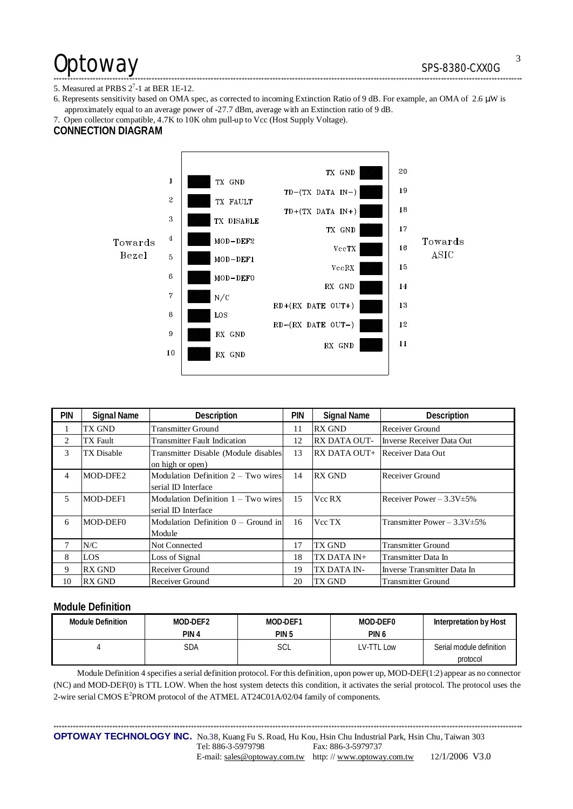# Optoway SPS-8380-CXX0G

#### 5. Measured at PRBS  $2^7$ -1 at BER 1E-12.

6. Represents sensitivity based on OMA spec, as corrected to incoming Extinction Ratio of 9 dB. For example, an OMA of 2.6 μW is approximately equal to an average power of -27.7 dBm, average with an Extinction ratio of 9 dB.

\*\*\*\*\*\*\*\*\*\*\*\*\*\*\*\*\*\*\*\*\*\*\*\*\*\*\*\*\*\*\*\*\*\*\*\*\*\*\*\*\*\*\*\*\*\*\*\*\*\*\*\*\*\*\*\*\*\*\*\*\*\*\*\*\*\*\*\*\*\*\*\*\*\*\*\*\*\*\*\*\*\*\*\*\*\*\*\*\*\*\*\*\*\*\*\*\*\*\*\*\*\*\*\*\*\*\*\*\*\*\*\*\*\*\*\*\*\*\*\*\*\*\*\*\*\*\*\*\*\*\*\*\*\*\*\*\*\*\*\*\*\*\*\*\*\*\*\*\*\*\*\*\*\*\*\*\*\*\*\*\*\*\*\*\*\*\*

7. Open collector compatible, 4.7K to 10K ohm pull-up to Vcc (Host Supply Voltage).

### **CONNECTION DIAGRAM**



| <b>PIN</b> | Signal Name   | Description                                                  | <b>PIN</b> | <b>Signal Name</b>                    | Description                       |
|------------|---------------|--------------------------------------------------------------|------------|---------------------------------------|-----------------------------------|
|            | TX GND        | <b>Transmitter Ground</b>                                    | 11         | <b>RX GND</b>                         | Receiver Ground                   |
| 2          | TX Fault      | <b>Transmitter Fault Indication</b>                          | 12         | <b>RX DATA OUT-</b>                   | Inverse Receiver Data Out         |
| 3          | TX Disable    | Transmitter Disable (Module disables<br>on high or open)     | 13         | <b>RX DATA OUT+</b> Receiver Data Out |                                   |
| 4          | MOD-DFE2      | Modulation Definition $2 - Two wires$<br>serial ID Interface | 14         | <b>RX GND</b>                         | Receiver Ground                   |
| 5          | MOD-DEF1      | Modulation Definition $1 - Two wires$<br>serial ID Interface | 15         | Vcc RX                                | Receiver Power $-3.3V \pm 5\%$    |
| 6          | MOD-DEF0      | Modulation Definition $0 -$ Ground in<br>Module              | 16         | Vcc TX                                | Transmitter Power $-3.3V \pm 5\%$ |
| 7          | N/C           | <b>Not Connected</b>                                         | 17         | TX GND                                | <b>Transmitter Ground</b>         |
| 8          | LOS           | Loss of Signal                                               | 18         | TX DATA IN+                           | Transmitter Data In               |
| 9          | <b>RX GND</b> | Receiver Ground                                              | 19         | TX DATA IN-                           | Inverse Transmitter Data In       |
| 10         | <b>RX GND</b> | Receiver Ground                                              | 20         | TX GND                                | <b>Transmitter Ground</b>         |

#### **Module Definition**

| <b>Module Definition</b> | MOD-DEF2         | MOD-DEF1         | MOD-DEF0  | Interpretation by Host   |
|--------------------------|------------------|------------------|-----------|--------------------------|
|                          | PIN <sub>4</sub> | PIN <sub>5</sub> | PIN 6     |                          |
|                          | SDA              | SCL              | V-TTL Low | Serial module definition |
|                          |                  |                  |           | protocol                 |

Module Definition 4 specifies a serial definition protocol. For this definition, upon power up, MOD-DEF(1:2) appear as no connector (NC) and MOD-DEF(0) is TTL LOW. When the host system detects this condition, it activates the serial protocol. The protocol uses the 2-wire serial CMOS E<sup>2</sup>PROM protocol of the ATMEL AT24C01A/02/04 family of components.